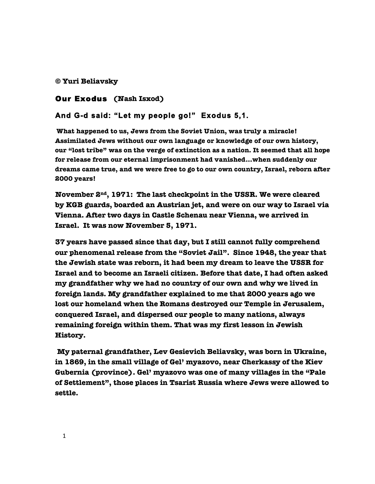**© Yuri Beliavsky**

## Our Exodus **(Nash Isxod)**

## **And G-d said: "Let my people go!" Exodus 5,1.**

 **What happened to us, Jews from the Soviet Union, was truly a miracle! Assimilated Jews without our own language or knowledge of our own history, our "lost tribe" was on the verge of extinction as a nation. It seemed that all hope for release from our eternal imprisonment had vanished…when suddenly our dreams came true, and we were free to go to our own country, Israel, reborn after 2000 years!** 

 **November 2nd, 1971: The last checkpoint in the USSR. We were cleared by KGB guards, boarded an Austrian jet, and were on our way to Israel via Vienna. After two days in Castle Schenau near Vienna, we arrived in Israel. It was now November 5, 1971.**

 **37 years have passed since that day, but I still cannot fully comprehend our phenomenal release from the "Soviet Jail". Since 1948, the year that the Jewish state was reborn, it had been my dream to leave the USSR for Israel and to become an Israeli citizen. Before that date, I had often asked my grandfather why we had no country of our own and why we lived in foreign lands. My grandfather explained to me that 2000 years ago we lost our homeland when the Romans destroyed our Temple in Jerusalem, conquered Israel, and dispersed our people to many nations, always remaining foreign within them. That was my first lesson in Jewish History.**

 **My paternal grandfather, Lev Gesievich Beliavsky, was born in Ukraine, in 1869, in the small village of Gel' myazovo, near Cherkassy of the Kiev Gubernia (province). Gel' myazovo was one of many villages in the "Pale of Settlement", those places in Tsarist Russia where Jews were allowed to settle.**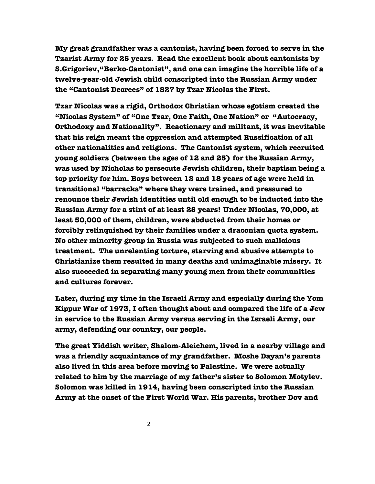**My great grandfather was a cantonist, having been forced to serve in the Tzarist Army for 25 years. Read the excellent book about cantonists by S.Grigoriev,"Berko-Cantonist", and one can imagine the horrible life of a twelve-year-old Jewish child conscripted into the Russian Army under the "Cantonist Decrees" of 1827 by Tzar Nicolas the First.** 

 **Tzar Nicolas was a rigid, Orthodox Christian whose egotism created the "Nicolas System" of "One Tzar, One Faith, One Nation" or "Autocracy, Orthodoxy and Nationality". Reactionary and militant, it was inevitable that his reign meant the oppression and attempted Russification of all other nationalities and religions. The Cantonist system, which recruited young soldiers (between the ages of 12 and 25) for the Russian Army, was used by Nicholas to persecute Jewish children, their baptism being a top priority for him. Boys between 12 and 18 years of age were held in transitional "barracks" where they were trained, and pressured to renounce their Jewish identities until old enough to be inducted into the Russian Army for a stint of at least 25 years! Under Nicolas, 70,000, at least 50,000 of them, children, were abducted from their homes or forcibly relinquished by their families under a draconian quota system. No other minority group in Russia was subjected to such malicious treatment. The unrelenting torture, starving and abusive attempts to Christianize them resulted in many deaths and unimaginable misery. It also succeeded in separating many young men from their communities and cultures forever.**

 **Later, during my time in the Israeli Army and especially during the Yom Kippur War of 1973, I often thought about and compared the life of a Jew in service to the Russian Army versus serving in the Israeli Army, our army, defending our country, our people.** 

 **The great Yiddish writer, Shalom-Aleichem, lived in a nearby village and was a friendly acquaintance of my grandfather. Moshe Dayan's parents also lived in this area before moving to Palestine. We were actually related to him by the marriage of my father's sister to Solomon Motylev. Solomon was killed in 1914, having been conscripted into the Russian Army at the onset of the First World War. His parents, brother Dov and**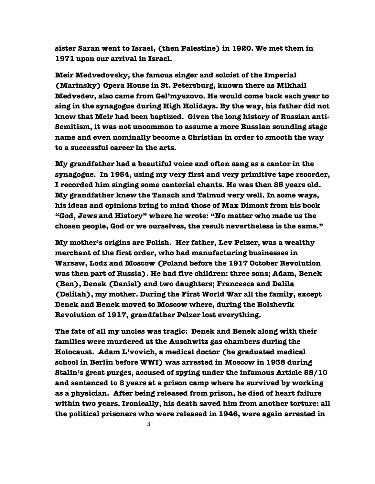**sister Saran went to Israel, (then Palestine) in 1920. We met them in 1971 upon our arrival in Israel.**

 **Meir Medvedovsky, the famous singer and soloist of the Imperial (Marinsky) Opera House in St. Petersburg, known there as Mikhail Medvedev, also came from Gel'myazovo. He would come back each year to sing in the synagogue during High Holidays. By the way, his father did not know that Meir had been baptized. Given the long history of Russian anti-Semitism, it was not uncommon to assume a more Russian sounding stage name and even nominally become a Christian in order to smooth the way to a successful career in the arts.** 

 **My grandfather had a beautiful voice and often sang as a cantor in the synagogue. In 1954, using my very first and very primitive tape recorder, I recorded him singing some cantorial chants. He was then 85 years old. My grandfather knew the Tanach and Talmud very well. In some ways, his ideas and opinions bring to mind those of Max Dimont from his book "God, Jews and History" where he wrote: "No matter who made us the chosen people, God or we ourselves, the result nevertheless is the same."**

 **My mother's origins are Polish. Her father, Lev Pelzer, was a wealthy merchant of the first order, who had manufacturing businesses in Warsaw, Lodz and Moscow (Poland before the 1917 October Revolution was then part of Russia). He had five children: three sons; Adam, Benek (Ben), Denek (Daniel) and two daughters; Francesca and Dalila (Delilah), my mother. During the First World War all the family, except Denek and Benek moved to Moscow where, during the Bolshevik Revolution of 1917, grandfather Pelzer lost everything.**

 **The fate of all my uncles was tragic: Denek and Benek along with their families were murdered at the Auschwitz gas chambers during the Holocaust. Adam L'vovich, a medical doctor (he graduated medical school in Berlin before WWI) was arrested in Moscow in 1938 during Stalin's great purges, accused of spying under the infamous Article 58/10 and sentenced to 8 years at a prison camp where he survived by working as a physician. After being released from prison, he died of heart failure within two years. Ironically, his death saved him from another torture: all the political prisoners who were released in 1946, were again arrested in**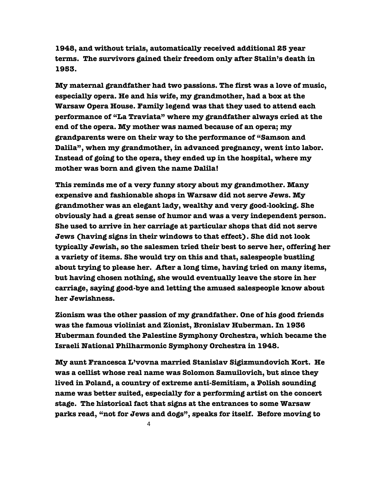**1948, and without trials, automatically received additional 25 year terms. The survivors gained their freedom only after Stalin's death in 1953.** 

 **My maternal grandfather had two passions. The first was a love of music, especially opera. He and his wife, my grandmother, had a box at the Warsaw Opera House. Family legend was that they used to attend each performance of "La Traviata" where my grandfather always cried at the end of the opera. My mother was named because of an opera; my grandparents were on their way to the performance of "Samson and Dalila", when my grandmother, in advanced pregnancy, went into labor. Instead of going to the opera, they ended up in the hospital, where my mother was born and given the name Dalila!** 

 **This reminds me of a very funny story about my grandmother. Many expensive and fashionable shops in Warsaw did not serve Jews. My grandmother was an elegant lady, wealthy and very good-looking. She obviously had a great sense of humor and was a very independent person. She used to arrive in her carriage at particular shops that did not serve Jews (having signs in their windows to that effect). She did not look typically Jewish, so the salesmen tried their best to serve her, offering her a variety of items. She would try on this and that, salespeople bustling about trying to please her. After a long time, having tried on many items, but having chosen nothing, she would eventually leave the store in her carriage, saying good-bye and letting the amused salespeople know about her Jewishness.**

 **Zionism was the other passion of my grandfather. One of his good friends was the famous violinist and Zionist, Bronislav Huberman. In 1936 Huberman founded the Palestine Symphony Orchestra, which became the Israeli National Philharmonic Symphony Orchestra in 1948.**

 **My aunt Francesca L'vovna married Stanislav Sigizmundovich Kort. He was a cellist whose real name was Solomon Samuilovich, but since they lived in Poland, a country of extreme anti-Semitism, a Polish sounding name was better suited, especially for a performing artist on the concert stage. The historical fact that signs at the entrances to some Warsaw parks read, "not for Jews and dogs", speaks for itself. Before moving to**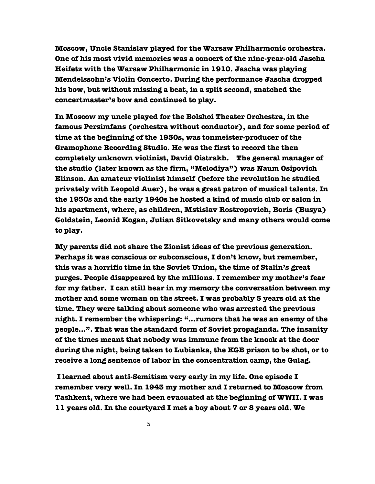**Moscow, Uncle Stanislav played for the Warsaw Philharmonic orchestra. One of his most vivid memories was a concert of the nine-year-old Jascha Heifetz with the Warsaw Philharmonic in 1910. Jascha was playing Mendelssohn's Violin Concerto. During the performance Jascha dropped his bow, but without missing a beat, in a split second, snatched the concertmaster's bow and continued to play.**

 **In Moscow my uncle played for the Bolshoi Theater Orchestra, in the famous Persimfans (orchestra without conductor), and for some period of time at the beginning of the 1930s, was tonmeister-producer of the Gramophone Recording Studio. He was the first to record the then completely unknown violinist, David Oistrakh. The general manager of the studio (later known as the firm, "Melodiya") was Naum Osipovich Elinson. An amateur violinist himself (before the revolution he studied privately with Leopold Auer), he was a great patron of musical talents. In the 1930s and the early 1940s he hosted a kind of music club or salon in his apartment, where, as children, Mstislav Rostropovich, Boris (Busya) Goldstein, Leonid Kogan, Julian Sitkovetsky and many others would come to play.** 

 **My parents did not share the Zionist ideas of the previous generation. Perhaps it was conscious or subconscious, I don't know, but remember, this was a horrific time in the Soviet Union, the time of Stalin's great purges. People disappeared by the millions. I remember my mother's fear for my father. I can still hear in my memory the conversation between my mother and some woman on the street. I was probably 5 years old at the time. They were talking about someone who was arrested the previous night. I remember the whispering: "…rumors that he was an enemy of the people…". That was the standard form of Soviet propaganda. The insanity of the times meant that nobody was immune from the knock at the door during the night, being taken to Lubianka, the KGB prison to be shot, or to receive a long sentence of labor in the concentration camp, the Gulag.**

 **I learned about anti-Semitism very early in my life. One episode I remember very well. In 1943 my mother and I returned to Moscow from Tashkent, where we had been evacuated at the beginning of WWII. I was 11 years old. In the courtyard I met a boy about 7 or 8 years old. We**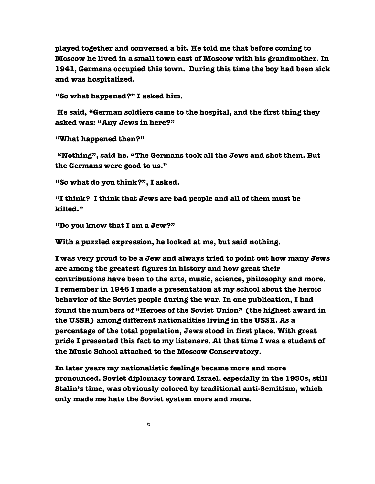**played together and conversed a bit. He told me that before coming to Moscow he lived in a small town east of Moscow with his grandmother. In 1941, Germans occupied this town. During this time the boy had been sick and was hospitalized.**

 **"So what happened?" I asked him.** 

 **He said, "German soldiers came to the hospital, and the first thing they asked was: "Any Jews in here?"**

 **"What happened then?"**

 **"Nothing", said he. "The Germans took all the Jews and shot them. But the Germans were good to us."**

 **"So what do you think?", I asked.**

 **"I think? I think that Jews are bad people and all of them must be killed."**

 **"Do you know that I am a Jew?"**

 **With a puzzled expression, he looked at me, but said nothing.**

 **I was very proud to be a Jew and always tried to point out how many Jews are among the greatest figures in history and how great their contributions have been to the arts, music, science, philosophy and more. I remember in 1946 I made a presentation at my school about the heroic behavior of the Soviet people during the war. In one publication, I had found the numbers of "Heroes of the Soviet Union" (the highest award in the USSR) among different nationalities living in the USSR. As a percentage of the total population, Jews stood in first place. With great pride I presented this fact to my listeners. At that time I was a student of the Music School attached to the Moscow Conservatory.** 

 **In later years my nationalistic feelings became more and more pronounced. Soviet diplomacy toward Israel, especially in the 1950s, still Stalin's time, was obviously colored by traditional anti-Semitism, which only made me hate the Soviet system more and more.**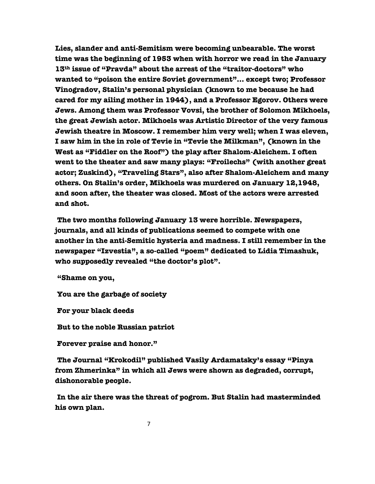**Lies, slander and anti-Semitism were becoming unbearable. The worst time was the beginning of 1953 when with horror we read in the January 13th issue of "Pravda" about the arrest of the "traitor-doctors" who wanted to "poison the entire Soviet government"... except two; Professor Vinogradov, Stalin's personal physician (known to me because he had cared for my ailing mother in 1944), and a Professor Egorov. Others were Jews. Among them was Professor Vovsi, the brother of Solomon Mikhoels, the great Jewish actor. Mikhoels was Artistic Director of the very famous Jewish theatre in Moscow. I remember him very well; when I was eleven, I saw him in the in role of Tevie in "Tevie the Milkman", (known in the West as "Fiddler on the Roof") the play after Shalom-Aleichem. I often went to the theater and saw many plays: "Froilechs" (with another great actor; Zuskind), "Traveling Stars", also after Shalom-Aleichem and many others. On Stalin's order, Mikhoels was murdered on January 12,1948, and soon after, the theater was closed. Most of the actors were arrested and shot.**

 **The two months following January 13 were horrible. Newspapers, journals, and all kinds of publications seemed to compete with one another in the anti-Semitic hysteria and madness. I still remember in the newspaper "Izvestia", a so-called "poem" dedicated to Lidia Timashuk, who supposedly revealed "the doctor's plot".** 

 **"Shame on you,**

 **You are the garbage of society**

 **For your black deeds**

 **But to the noble Russian patriot**

 **Forever praise and honor."**

 **The Journal "Krokodil" published Vasily Ardamatsky's essay "Pinya from Zhmerinka" in which all Jews were shown as degraded, corrupt, dishonorable people.**

 **In the air there was the threat of pogrom. But Stalin had masterminded his own plan.**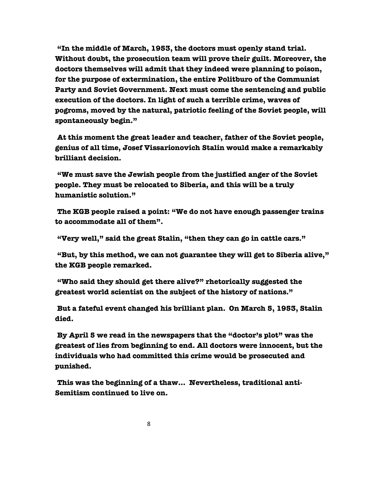**"In the middle of March, 1953, the doctors must openly stand trial. Without doubt, the prosecution team will prove their guilt. Moreover, the doctors themselves will admit that they indeed were planning to poison, for the purpose of extermination, the entire Politburo of the Communist Party and Soviet Government. Next must come the sentencing and public execution of the doctors. In light of such a terrible crime, waves of pogroms, moved by the natural, patriotic feeling of the Soviet people, will spontaneously begin."**

 **At this moment the great leader and teacher, father of the Soviet people, genius of all time, Josef Vissarionovich Stalin would make a remarkably brilliant decision.**

 **"We must save the Jewish people from the justified anger of the Soviet people. They must be relocated to Siberia, and this will be a truly humanistic solution."** 

 **The KGB people raised a point: "We do not have enough passenger trains to accommodate all of them".**

 **"Very well," said the great Stalin, "then they can go in cattle cars."**

 **"But, by this method, we can not guarantee they will get to Siberia alive," the KGB people remarked.** 

 **"Who said they should get there alive?" rhetorically suggested the greatest world scientist on the subject of the history of nations."**

 **But a fateful event changed his brilliant plan. On March 5, 1953, Stalin died.**

 **By April 5 we read in the newspapers that the "doctor's plot" was the greatest of lies from beginning to end. All doctors were innocent, but the individuals who had committed this crime would be prosecuted and punished.** 

 **This was the beginning of a thaw… Nevertheless, traditional anti-Semitism continued to live on.**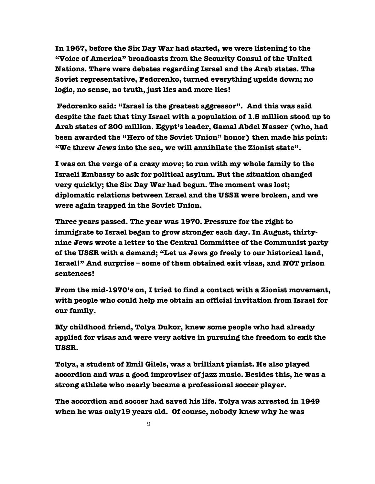**In 1967, before the Six Day War had started, we were listening to the "Voice of America" broadcasts from the Security Consul of the United Nations. There were debates regarding Israel and the Arab states. The Soviet representative, Fedorenko, turned everything upside down; no logic, no sense, no truth, just lies and more lies!** 

 **Fedorenko said: "Israel is the greatest aggressor". And this was said despite the fact that tiny Israel with a population of 1.5 million stood up to Arab states of 200 million. Egypt's leader, Gamal Abdel Nasser (who, had been awarded the "Hero of the Soviet Union" honor) then made his point: "We threw Jews into the sea, we will annihilate the Zionist state".** 

 **I was on the verge of a crazy move; to run with my whole family to the Israeli Embassy to ask for political asylum. But the situation changed very quickly; the Six Day War had begun. The moment was lost; diplomatic relations between Israel and the USSR were broken, and we were again trapped in the Soviet Union.** 

 **Three years passed. The year was 1970. Pressure for the right to immigrate to Israel began to grow stronger each day. In August, thirtynine Jews wrote a letter to the Central Committee of the Communist party of the USSR with a demand; "Let us Jews go freely to our historical land, Israel!" And surprise – some of them obtained exit visas, and NOT prison sentences!** 

 **From the mid-1970's on, I tried to find a contact with a Zionist movement, with people who could help me obtain an official invitation from Israel for our family.**

 **My childhood friend, Tolya Dukor, knew some people who had already applied for visas and were very active in pursuing the freedom to exit the USSR.**

 **Tolya, a student of Emil Gilels, was a brilliant pianist. He also played accordion and was a good improviser of jazz music. Besides this, he was a strong athlete who nearly became a professional soccer player.**

 **The accordion and soccer had saved his life. Tolya was arrested in 1949 when he was only19 years old. Of course, nobody knew why he was**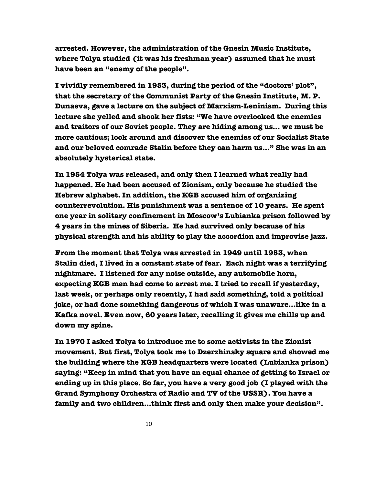**arrested. However, the administration of the Gnesin Music Institute, where Tolya studied (it was his freshman year) assumed that he must have been an "enemy of the people".**

 **I vividly remembered in 1953, during the period of the "doctors' plot", that the secretary of the Communist Party of the Gnesin Institute, M. P. Dunaeva, gave a lecture on the subject of Marxism-Leninism. During this lecture she yelled and shook her fists: "We have overlooked the enemies and traitors of our Soviet people. They are hiding among us… we must be more cautious; look around and discover the enemies of our Socialist State and our beloved comrade Stalin before they can harm us…" She was in an absolutely hysterical state.** 

 **In 1954 Tolya was released, and only then I learned what really had happened. He had been accused of Zionism, only because he studied the Hebrew alphabet. In addition, the KGB accused him of organizing counterrevolution. His punishment was a sentence of 10 years. He spent one year in solitary confinement in Moscow's Lubianka prison followed by 4 years in the mines of Siberia. He had survived only because of his physical strength and his ability to play the accordion and improvise jazz.** 

 **From the moment that Tolya was arrested in 1949 until 1953, when Stalin died, I lived in a constant state of fear. Each night was a terrifying nightmare. I listened for any noise outside, any automobile horn, expecting KGB men had come to arrest me. I tried to recall if yesterday, last week, or perhaps only recently, I had said something, told a political joke, or had done something dangerous of which I was unaware…like in a Kafka novel. Even now, 60 years later, recalling it gives me chills up and down my spine.** 

 **In 1970 I asked Tolya to introduce me to some activists in the Zionist movement. But first, Tolya took me to Dzerzhinsky square and showed me the building where the KGB headquarters were located (Lubianka prison) saying: "Keep in mind that you have an equal chance of getting to Israel or ending up in this place. So far, you have a very good job (I played with the Grand Symphony Orchestra of Radio and TV of the USSR). You have a family and two children…think first and only then make your decision".**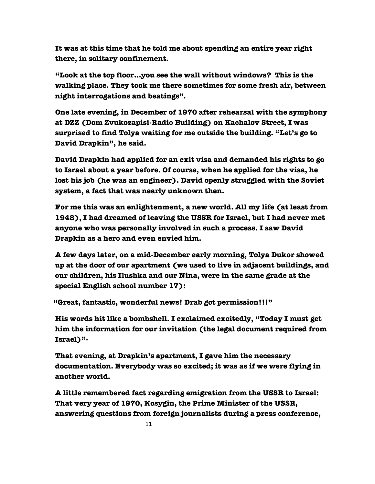**It was at this time that he told me about spending an entire year right there, in solitary confinement.** 

 **"Look at the top floor…you see the wall without windows? This is the walking place. They took me there sometimes for some fresh air, between night interrogations and beatings".**

 **One late evening, in December of 1970 after rehearsal with the symphony at DZZ (Dom Zvukozapisi-Radio Building) on Kachalov Street, I was surprised to find Tolya waiting for me outside the building. "Let's go to David Drapkin", he said.**

 **David Drapkin had applied for an exit visa and demanded his rights to go to Israel about a year before. Of course, when he applied for the visa, he lost his job (he was an engineer). David openly struggled with the Soviet system, a fact that was nearly unknown then.** 

 **For me this was an enlightenment, a new world. All my life (at least from 1948), I had dreamed of leaving the USSR for Israel, but I had never met anyone who was personally involved in such a process. I saw David Drapkin as a hero and even envied him.** 

 **A few days later, on a mid-December early morning, Tolya Dukor showed up at the door of our apartment (we used to live in adjacent buildings, and our children, his Ilushka and our Nina, were in the same grade at the special English school number 17):**

 **"Great, fantastic, wonderful news! Drab got permission!!!"**

 **His words hit like a bombshell. I exclaimed excitedly, "Today I must get him the information for our invitation (the legal document required from Israel)"-** 

 **That evening, at Drapkin's apartment, I gave him the necessary documentation. Everybody was so excited; it was as if we were flying in another world.**

 **A little remembered fact regarding emigration from the USSR to Israel: That very year of 1970, Kosygin, the Prime Minister of the USSR, answering questions from foreign journalists during a press conference,**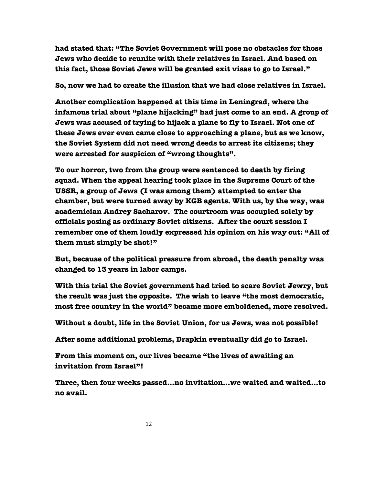**had stated that: "The Soviet Government will pose no obstacles for those Jews who decide to reunite with their relatives in Israel. And based on this fact, those Soviet Jews will be granted exit visas to go to Israel."**

 **So, now we had to create the illusion that we had close relatives in Israel.**

 **Another complication happened at this time in Leningrad, where the infamous trial about "plane hijacking" had just come to an end. A group of Jews was accused of trying to hijack a plane to fly to Israel. Not one of these Jews ever even came close to approaching a plane, but as we know, the Soviet System did not need wrong deeds to arrest its citizens; they were arrested for suspicion of "wrong thoughts".** 

 **To our horror, two from the group were sentenced to death by firing squad. When the appeal hearing took place in the Supreme Court of the USSR, a group of Jews (I was among them) attempted to enter the chamber, but were turned away by KGB agents. With us, by the way, was academician Andrey Sacharov. The courtroom was occupied solely by officials posing as ordinary Soviet citizens. After the court session I remember one of them loudly expressed his opinion on his way out: "All of them must simply be shot!"**

 **But, because of the political pressure from abroad, the death penalty was changed to 13 years in labor camps.**

 **With this trial the Soviet government had tried to scare Soviet Jewry, but the result was just the opposite. The wish to leave "the most democratic, most free country in the world" became more emboldened, more resolved.**

 **Without a doubt, life in the Soviet Union, for us Jews, was not possible!**

 **After some additional problems, Drapkin eventually did go to Israel.**

 **From this moment on, our lives became "the lives of awaiting an invitation from Israel"!**

 **Three, then four weeks passed…no invitation…we waited and waited…to no avail.**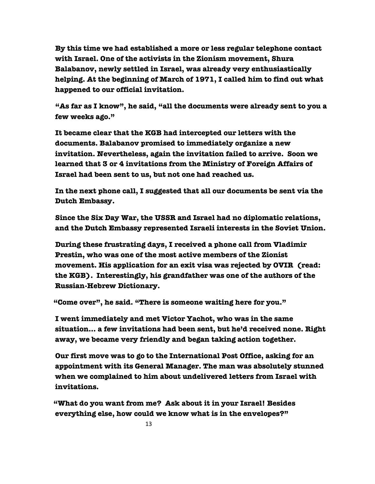**By this time we had established a more or less regular telephone contact with Israel. One of the activists in the Zionism movement, Shura Balabanov, newly settled in Israel, was already very enthusiastically helping. At the beginning of March of 1971, I called him to find out what happened to our official invitation.**

 **"As far as I know", he said, "all the documents were already sent to you a few weeks ago."**

 **It became clear that the KGB had intercepted our letters with the documents. Balabanov promised to immediately organize a new invitation. Nevertheless, again the invitation failed to arrive. Soon we learned that 3 or 4 invitations from the Ministry of Foreign Affairs of Israel had been sent to us, but not one had reached us.** 

 **In the next phone call, I suggested that all our documents be sent via the Dutch Embassy.**

 **Since the Six Day War, the USSR and Israel had no diplomatic relations, and the Dutch Embassy represented Israeli interests in the Soviet Union.**

 **During these frustrating days, I received a phone call from Vladimir Prestin, who was one of the most active members of the Zionist movement. His application for an exit visa was rejected by OVIR (read: the KGB). Interestingly, his grandfather was one of the authors of the Russian-Hebrew Dictionary.**

 **"Come over", he said. "There is someone waiting here for you."**

 **I went immediately and met Victor Yachot, who was in the same situation… a few invitations had been sent, but he'd received none. Right away, we became very friendly and began taking action together.**

 **Our first move was to go to the International Post Office, asking for an appointment with its General Manager. The man was absolutely stunned when we complained to him about undelivered letters from Israel with invitations.**

 **"What do you want from me? Ask about it in your Israel! Besides everything else, how could we know what is in the envelopes?"**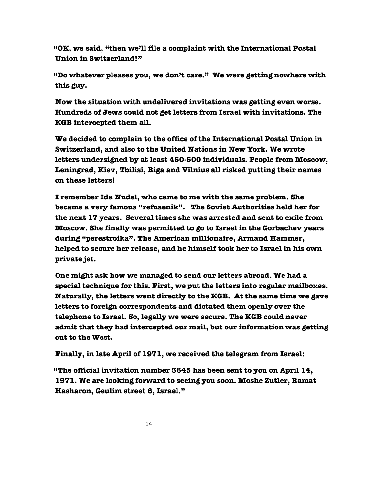**"OK, we said, "then we'll file a complaint with the International Postal Union in Switzerland!"**

 **"Do whatever pleases you, we don't care." We were getting nowhere with this guy.**

 **Now the situation with undelivered invitations was getting even worse. Hundreds of Jews could not get letters from Israel with invitations. The KGB intercepted them all.** 

 **We decided to complain to the office of the International Postal Union in Switzerland, and also to the United Nations in New York. We wrote letters undersigned by at least 450-500 individuals. People from Moscow, Leningrad, Kiev, Tbilisi, Riga and Vilnius all risked putting their names on these letters!**

 **I remember Ida Nudel, who came to me with the same problem. She became a very famous "refusenik". The Soviet Authorities held her for the next 17 years. Several times she was arrested and sent to exile from Moscow. She finally was permitted to go to Israel in the Gorbachev years during "perestroika". The American millionaire, Armand Hammer, helped to secure her release, and he himself took her to Israel in his own private jet.** 

 **One might ask how we managed to send our letters abroad. We had a special technique for this. First, we put the letters into regular mailboxes. Naturally, the letters went directly to the KGB. At the same time we gave letters to foreign correspondents and dictated them openly over the telephone to Israel. So, legally we were secure. The KGB could never admit that they had intercepted our mail, but our information was getting out to the West.** 

 **Finally, in late April of 1971, we received the telegram from Israel:**

 **"The official invitation number 3645 has been sent to you on April 14, 1971. We are looking forward to seeing you soon. Moshe Zutler, Ramat Hasharon, Geulim street 6, Israel."**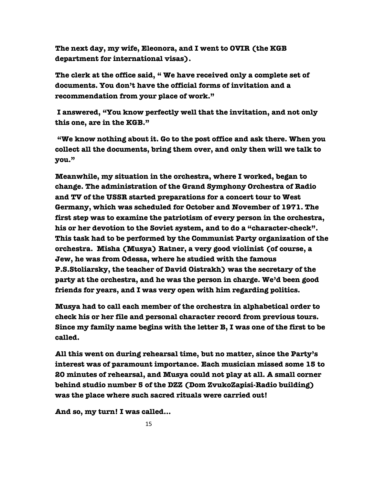**The next day, my wife, Eleonora, and I went to OVIR (the KGB department for international visas).**

 **The clerk at the office said, " We have received only a complete set of documents. You don't have the official forms of invitation and a recommendation from your place of work."** 

 **I answered, "You know perfectly well that the invitation, and not only this one, are in the KGB."** 

 **"We know nothing about it. Go to the post office and ask there. When you collect all the documents, bring them over, and only then will we talk to you."**

 **Meanwhile, my situation in the orchestra, where I worked, began to change. The administration of the Grand Symphony Orchestra of Radio and TV of the USSR started preparations for a concert tour to West Germany, which was scheduled for October and November of 1971. The first step was to examine the patriotism of every person in the orchestra, his or her devotion to the Soviet system, and to do a "character-check". This task had to be performed by the Communist Party organization of the orchestra. Misha (Musya) Ratner, a very good violinist (of course, a Jew, he was from Odessa, where he studied with the famous P.S.Stoliarsky, the teacher of David Oistrakh) was the secretary of the party at the orchestra, and he was the person in charge. We'd been good friends for years, and I was very open with him regarding politics.** 

 **Musya had to call each member of the orchestra in alphabetical order to check his or her file and personal character record from previous tours. Since my family name begins with the letter B, I was one of the first to be called.**

 **All this went on during rehearsal time, but no matter, since the Party's interest was of paramount importance. Each musician missed some 15 to 20 minutes of rehearsal, and Musya could not play at all. A small corner behind studio number 5 of the DZZ (Dom ZvukoZapisi-Radio building) was the place where such sacred rituals were carried out!**

 **And so, my turn! I was called…**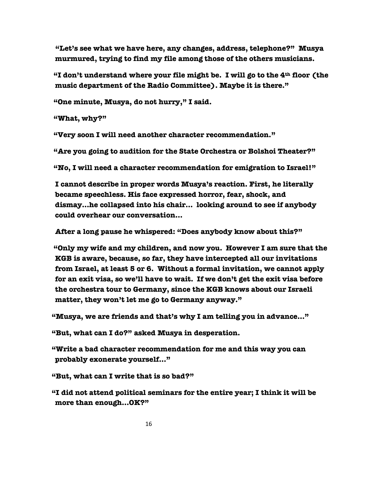**"Let's see what we have here, any changes, address, telephone?" Musya murmured, trying to find my file among those of the others musicians.** 

 **"I don't understand where your file might be. I will go to the 4th floor (the music department of the Radio Committee). Maybe it is there."**

 **"One minute, Musya, do not hurry," I said.**

 **"What, why?"**

 **"Very soon I will need another character recommendation."**

 **"Are you going to audition for the State Orchestra or Bolshoi Theater?"**

 **"No, I will need a character recommendation for emigration to Israel!"** 

 **I cannot describe in proper words Musya's reaction. First, he literally became speechless. His face expressed horror, fear, shock, and dismay…he collapsed into his chair… looking around to see if anybody could overhear our conversation…**

 **After a long pause he whispered: "Does anybody know about this?"**

 **"Only my wife and my children, and now you. However I am sure that the KGB is aware, because, so far, they have intercepted all our invitations from Israel, at least 5 or 6. Without a formal invitation, we cannot apply for an exit visa, so we'll have to wait. If we don't get the exit visa before the orchestra tour to Germany, since the KGB knows about our Israeli matter, they won't let me go to Germany anyway."**

 **"Musya, we are friends and that's why I am telling you in advance…"**

**"But, what can I do?" asked Musya in desperation.**

 **"Write a bad character recommendation for me and this way you can probably exonerate yourself…"**

 **"But, what can I write that is so bad?"**

 **"I did not attend political seminars for the entire year; I think it will be more than enough…OK?"**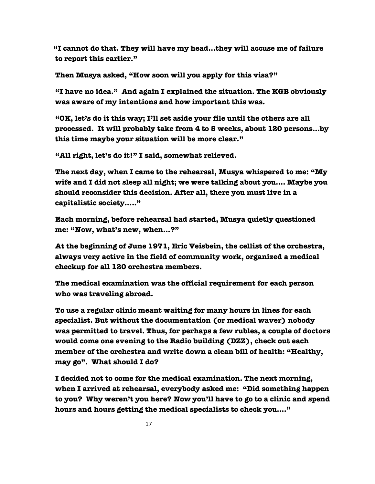**"I cannot do that. They will have my head…they will accuse me of failure to report this earlier."**

 **Then Musya asked, "How soon will you apply for this visa?"**

 **"I have no idea." And again I explained the situation. The KGB obviously was aware of my intentions and how important this was.**

 **"OK, let's do it this way; I'll set aside your file until the others are all processed. It will probably take from 4 to 5 weeks, about 120 persons…by this time maybe your situation will be more clear."**

 **"All right, let's do it!" I said, somewhat relieved.** 

 **The next day, when I came to the rehearsal, Musya whispered to me: "My wife and I did not sleep all night; we were talking about you…. Maybe you should reconsider this decision. After all, there you must live in a capitalistic society….."**

 **Each morning, before rehearsal had started, Musya quietly questioned me: "Now, what's new, when…?"** 

 **At the beginning of June 1971, Eric Veisbein, the cellist of the orchestra, always very active in the field of community work, organized a medical checkup for all 120 orchestra members.**

 **The medical examination was the official requirement for each person who was traveling abroad.**

 **To use a regular clinic meant waiting for many hours in lines for each specialist. But without the documentation (or medical waver) nobody was permitted to travel. Thus, for perhaps a few rubles, a couple of doctors would come one evening to the Radio building (DZZ), check out each member of the orchestra and write down a clean bill of health: "Healthy, may go". What should I do?** 

 **I decided not to come for the medical examination. The next morning, when I arrived at rehearsal, everybody asked me: "Did something happen to you? Why weren't you here? Now you'll have to go to a clinic and spend hours and hours getting the medical specialists to check you…."**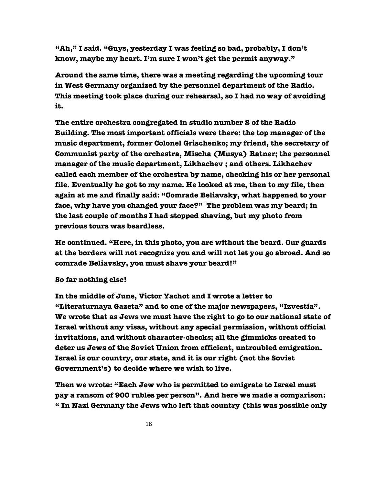**"Ah," I said. "Guys, yesterday I was feeling so bad, probably, I don't know, maybe my heart. I'm sure I won't get the permit anyway."** 

 **Around the same time, there was a meeting regarding the upcoming tour in West Germany organized by the personnel department of the Radio. This meeting took place during our rehearsal, so I had no way of avoiding it.** 

 **The entire orchestra congregated in studio number 2 of the Radio Building. The most important officials were there: the top manager of the music department, former Colonel Grischenko; my friend, the secretary of Communist party of the orchestra, Mischa (Musya) Ratner; the personnel manager of the music department, Likhachev ; and others. Likhachev called each member of the orchestra by name, checking his or her personal file. Eventually he got to my name. He looked at me, then to my file, then again at me and finally said: "Comrade Beliavsky, what happened to your face, why have you changed your face?" The problem was my beard; in the last couple of months I had stopped shaving, but my photo from previous tours was beardless.**

 **He continued. "Here, in this photo, you are without the beard. Our guards at the borders will not recognize you and will not let you go abroad. And so comrade Beliavsky, you must shave your beard!"** 

## **So far nothing else!**

 **In the middle of June, Victor Yachot and I wrote a letter to "Literaturnaya Gazeta" and to one of the major newspapers, "Izvestia". We wrote that as Jews we must have the right to go to our national state of Israel without any visas, without any special permission, without official invitations, and without character-checks; all the gimmicks created to deter us Jews of the Soviet Union from efficient, untroubled emigration. Israel is our country, our state, and it is our right (not the Soviet Government's) to decide where we wish to live.** 

 **Then we wrote: "Each Jew who is permitted to emigrate to Israel must pay a ransom of 900 rubles per person". And here we made a comparison: " In Nazi Germany the Jews who left that country (this was possible only**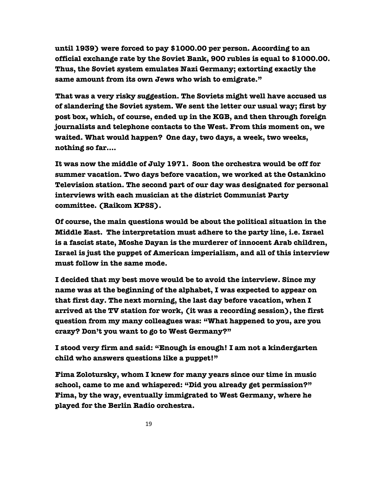**until 1939) were forced to pay \$1000.00 per person. According to an official exchange rate by the Soviet Bank, 900 rubles is equal to \$1000.00. Thus, the Soviet system emulates Nazi Germany; extorting exactly the same amount from its own Jews who wish to emigrate."**

 **That was a very risky suggestion. The Soviets might well have accused us of slandering the Soviet system. We sent the letter our usual way; first by post box, which, of course, ended up in the KGB, and then through foreign journalists and telephone contacts to the West. From this moment on, we waited. What would happen? One day, two days, a week, two weeks, nothing so far….** 

 **It was now the middle of July 1971. Soon the orchestra would be off for summer vacation. Two days before vacation, we worked at the Ostankino Television station. The second part of our day was designated for personal interviews with each musician at the district Communist Party committee. (Raikom KPSS).**

 **Of course, the main questions would be about the political situation in the Middle East. The interpretation must adhere to the party line, i.e. Israel is a fascist state, Moshe Dayan is the murderer of innocent Arab children, Israel is just the puppet of American imperialism, and all of this interview must follow in the same mode.**

 **I decided that my best move would be to avoid the interview. Since my name was at the beginning of the alphabet, I was expected to appear on that first day. The next morning, the last day before vacation, when I arrived at the TV station for work, (it was a recording session), the first question from my many colleagues was: "What happened to you, are you crazy? Don't you want to go to West Germany?"** 

 **I stood very firm and said: "Enough is enough! I am not a kindergarten child who answers questions like a puppet!"**

 **Fima Zolotursky, whom I knew for many years since our time in music school, came to me and whispered: "Did you already get permission?" Fima, by the way, eventually immigrated to West Germany, where he played for the Berlin Radio orchestra.**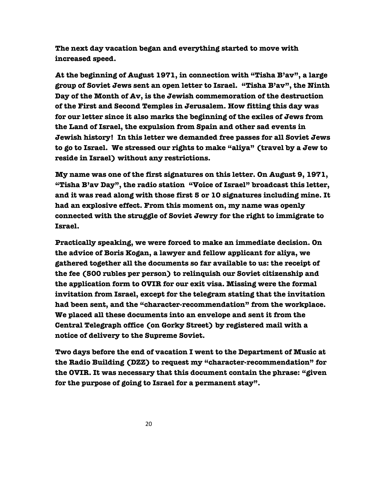**The next day vacation began and everything started to move with increased speed.** 

 **At the beginning of August 1971, in connection with "Tisha B'av", a large group of Soviet Jews sent an open letter to Israel. "Tisha B'av", the Ninth Day of the Month of Av, is the Jewish commemoration of the destruction of the First and Second Temples in Jerusalem. How fitting this day was for our letter since it also marks the beginning of the exiles of Jews from the Land of Israel, the expulsion from Spain and other sad events in Jewish history! In this letter we demanded free passes for all Soviet Jews to go to Israel. We stressed our rights to make "aliya" (travel by a Jew to reside in Israel) without any restrictions.**

 **My name was one of the first signatures on this letter. On August 9, 1971, "Tisha B'av Day", the radio station "Voice of Israel" broadcast this letter, and it was read along with those first 5 or 10 signatures including mine. It had an explosive effect. From this moment on, my name was openly connected with the struggle of Soviet Jewry for the right to immigrate to Israel.** 

 **Practically speaking, we were forced to make an immediate decision. On the advice of Boris Kogan, a lawyer and fellow applicant for aliya, we gathered together all the documents so far available to us: the receipt of the fee (500 rubles per person) to relinquish our Soviet citizenship and the application form to OVIR for our exit visa. Missing were the formal invitation from Israel, except for the telegram stating that the invitation had been sent, and the "character-recommendation" from the workplace. We placed all these documents into an envelope and sent it from the Central Telegraph office (on Gorky Street) by registered mail with a notice of delivery to the Supreme Soviet.** 

 **Two days before the end of vacation I went to the Department of Music at the Radio Building (DZZ) to request my "character-recommendation" for the OVIR. It was necessary that this document contain the phrase: "given for the purpose of going to Israel for a permanent stay".**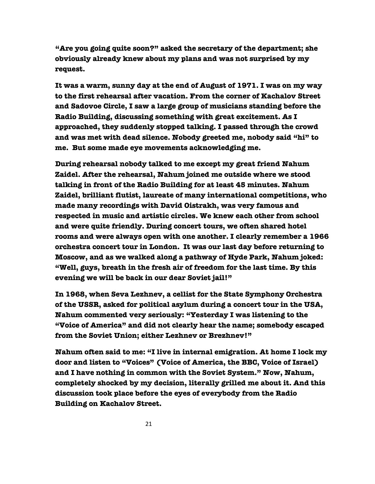**"Are you going quite soon?" asked the secretary of the department; she obviously already knew about my plans and was not surprised by my request.**

 **It was a warm, sunny day at the end of August of 1971. I was on my way to the first rehearsal after vacation. From the corner of Kachalov Street and Sadovoe Circle, I saw a large group of musicians standing before the Radio Building, discussing something with great excitement. As I approached, they suddenly stopped talking. I passed through the crowd and was met with dead silence. Nobody greeted me, nobody said "hi" to me. But some made eye movements acknowledging me.**

 **During rehearsal nobody talked to me except my great friend Nahum Zaidel. After the rehearsal, Nahum joined me outside where we stood talking in front of the Radio Building for at least 45 minutes. Nahum Zaidel, brilliant flutist, laureate of many international competitions, who made many recordings with David Oistrakh, was very famous and respected in music and artistic circles. We knew each other from school and were quite friendly. During concert tours, we often shared hotel rooms and were always open with one another. I clearly remember a 1966 orchestra concert tour in London. It was our last day before returning to Moscow, and as we walked along a pathway of Hyde Park, Nahum joked: "Well, guys, breath in the fresh air of freedom for the last time. By this evening we will be back in our dear Soviet jail!"**

 **In 1968, when Seva Lezhnev, a cellist for the State Symphony Orchestra of the USSR, asked for political asylum during a concert tour in the USA, Nahum commented very seriously: "Yesterday I was listening to the "Voice of America" and did not clearly hear the name; somebody escaped from the Soviet Union; either Lezhnev or Brezhnev!"**

 **Nahum often said to me: "I live in internal emigration. At home I lock my door and listen to "Voices" (Voice of America, the BBC, Voice of Israel) and I have nothing in common with the Soviet System." Now, Nahum, completely shocked by my decision, literally grilled me about it. And this discussion took place before the eyes of everybody from the Radio Building on Kachalov Street.**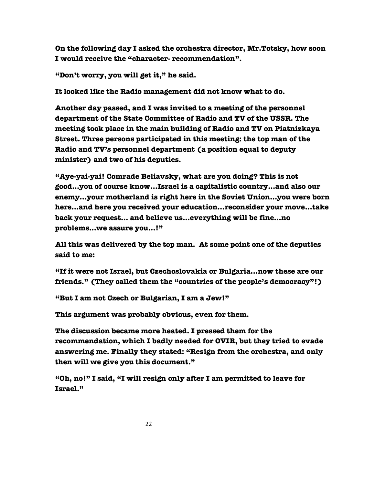**On the following day I asked the orchestra director, Mr.Totsky, how soon I would receive the "character- recommendation".** 

 **"Don't worry, you will get it," he said.**

 **It looked like the Radio management did not know what to do.**

 **Another day passed, and I was invited to a meeting of the personnel department of the State Committee of Radio and TV of the USSR. The meeting took place in the main building of Radio and TV on Piatnizkaya Street. Three persons participated in this meeting: the top man of the Radio and TV's personnel department (a position equal to deputy minister) and two of his deputies.** 

 **"Aye-yai-yai! Comrade Beliavsky, what are you doing? This is not good…you of course know…Israel is a capitalistic country…and also our enemy…your motherland is right here in the Soviet Union…you were born here…and here you received your education…reconsider your move…take back your request… and believe us…everything will be fine…no problems…we assure you…!"**

 **All this was delivered by the top man. At some point one of the deputies said to me:**

 **"If it were not Israel, but Czechoslovakia or Bulgaria…now these are our friends." (They called them the "countries of the people's democracy"!)**

 **"But I am not Czech or Bulgarian, I am a Jew!"**

 **This argument was probably obvious, even for them.** 

 **The discussion became more heated. I pressed them for the recommendation, which I badly needed for OVIR, but they tried to evade answering me. Finally they stated: "Resign from the orchestra, and only then will we give you this document."**

 **"Oh, no!" I said, "I will resign only after I am permitted to leave for Israel."**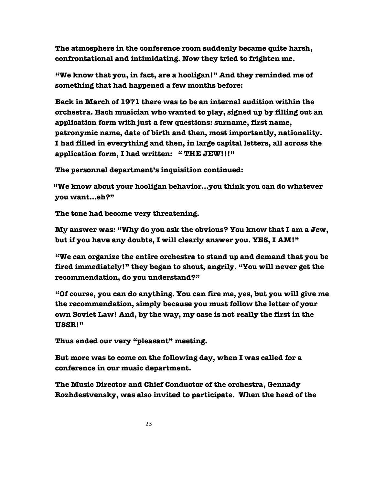**The atmosphere in the conference room suddenly became quite harsh, confrontational and intimidating. Now they tried to frighten me.**

 **"We know that you, in fact, are a hooligan!" And they reminded me of something that had happened a few months before:**

 **Back in March of 1971 there was to be an internal audition within the orchestra. Each musician who wanted to play, signed up by filling out an application form with just a few questions: surname, first name, patronymic name, date of birth and then, most importantly, nationality. I had filled in everything and then, in large capital letters, all across the application form, I had written: " THE JEW!!!"** 

 **The personnel department's inquisition continued:**

 **"We know about your hooligan behavior…you think you can do whatever you want…eh?"**

 **The tone had become very threatening.**

 **My answer was: "Why do you ask the obvious? You know that I am a Jew, but if you have any doubts, I will clearly answer you. YES, I AM!"**

 **"We can organize the entire orchestra to stand up and demand that you be fired immediately!" they began to shout, angrily. "You will never get the recommendation, do you understand?"** 

 **"Of course, you can do anything. You can fire me, yes, but you will give me the recommendation, simply because you must follow the letter of your own Soviet Law! And, by the way, my case is not really the first in the USSR!"**

 **Thus ended our very "pleasant" meeting.**

 **But more was to come on the following day, when I was called for a conference in our music department.**

 **The Music Director and Chief Conductor of the orchestra, Gennady Rozhdestvensky, was also invited to participate. When the head of the**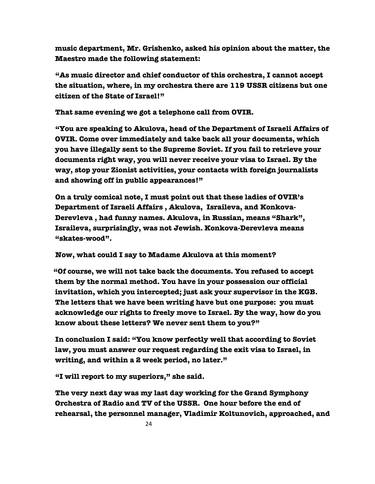**music department, Mr. Grishenko, asked his opinion about the matter, the Maestro made the following statement:** 

 **"As music director and chief conductor of this orchestra, I cannot accept the situation, where, in my orchestra there are 119 USSR citizens but one citizen of the State of Israel!"**

 **That same evening we got a telephone call from OVIR.** 

 **"You are speaking to Akulova, head of the Department of Israeli Affairs of OVIR. Come over immediately and take back all your documents, which you have illegally sent to the Supreme Soviet. If you fail to retrieve your documents right way, you will never receive your visa to Israel. By the way, stop your Zionist activities, your contacts with foreign journalists and showing off in public appearances!"**

 **On a truly comical note, I must point out that these ladies of OVIR's Department of Israeli Affairs , Akulova, Israileva, and Konkova-Derevleva , had funny names. Akulova, in Russian, means "Shark", Israileva, surprisingly, was not Jewish. Konkova-Derevleva means "skates-wood".** 

 **Now, what could I say to Madame Akulova at this moment?**

 **"Of course, we will not take back the documents. You refused to accept them by the normal method. You have in your possession our official invitation, which you intercepted; just ask your supervisor in the KGB. The letters that we have been writing have but one purpose: you must acknowledge our rights to freely move to Israel. By the way, how do you know about these letters? We never sent them to you?"**

 **In conclusion I said: "You know perfectly well that according to Soviet law, you must answer our request regarding the exit visa to Israel, in writing, and within a 2 week period, no later."**

 **"I will report to my superiors," she said.**

 **The very next day was my last day working for the Grand Symphony Orchestra of Radio and TV of the USSR. One hour before the end of rehearsal, the personnel manager, Vladimir Koltunovich, approached, and**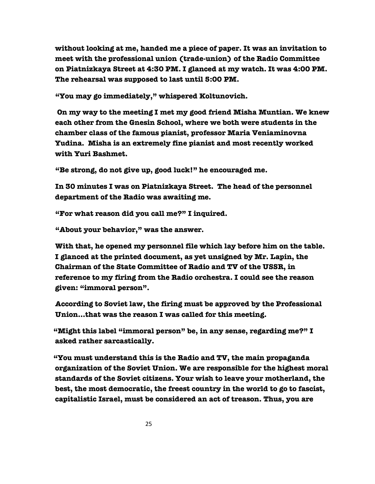**without looking at me, handed me a piece of paper. It was an invitation to meet with the professional union (trade-union) of the Radio Committee on Piatnizkaya Street at 4:30 PM. I glanced at my watch. It was 4:00 PM. The rehearsal was supposed to last until 5:00 PM.**

 **"You may go immediately," whispered Koltunovich.** 

 **On my way to the meeting I met my good friend Misha Muntian. We knew each other from the Gnesin School, where we both were students in the chamber class of the famous pianist, professor Maria Veniaminovna Yudina. Misha is an extremely fine pianist and most recently worked with Yuri Bashmet.**

 **"Be strong, do not give up, good luck!" he encouraged me.**

 **In 30 minutes I was on Piatnizkaya Street. The head of the personnel department of the Radio was awaiting me.** 

 **"For what reason did you call me?" I inquired.** 

 **"About your behavior," was the answer.**

 **With that, he opened my personnel file which lay before him on the table. I glanced at the printed document, as yet unsigned by Mr. Lapin, the Chairman of the State Committee of Radio and TV of the USSR, in reference to my firing from the Radio orchestra. I could see the reason given: "immoral person".**

 **According to Soviet law, the firing must be approved by the Professional Union…that was the reason I was called for this meeting.** 

 **"Might this label "immoral person" be, in any sense, regarding me?" I asked rather sarcastically.**

 **"You must understand this is the Radio and TV, the main propaganda organization of the Soviet Union. We are responsible for the highest moral standards of the Soviet citizens. Your wish to leave your motherland, the best, the most democratic, the freest country in the world to go to fascist, capitalistic Israel, must be considered an act of treason. Thus, you are**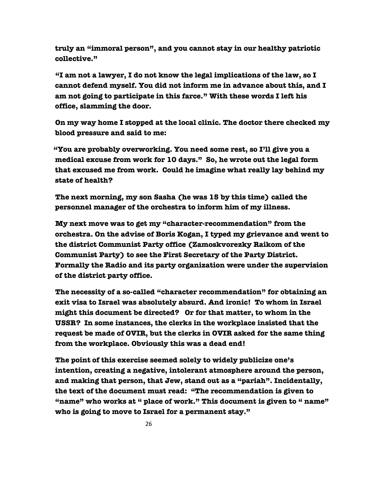**truly an "immoral person", and you cannot stay in our healthy patriotic collective."**

 **"I am not a lawyer, I do not know the legal implications of the law, so I cannot defend myself. You did not inform me in advance about this, and I am not going to participate in this farce." With these words I left his office, slamming the door.** 

 **On my way home I stopped at the local clinic. The doctor there checked my blood pressure and said to me:**

 **"You are probably overworking. You need some rest, so I'll give you a medical excuse from work for 10 days." So, he wrote out the legal form that excused me from work. Could he imagine what really lay behind my state of health?** 

 **The next morning, my son Sasha (he was 15 by this time) called the personnel manager of the orchestra to inform him of my illness.**

 **My next move was to get my "character-recommendation" from the orchestra. On the advise of Boris Kogan, I typed my grievance and went to the district Communist Party office (Zamoskvorezky Raikom of the Communist Party) to see the First Secretary of the Party District. Formally the Radio and its party organization were under the supervision of the district party office.**

 **The necessity of a so-called "character recommendation" for obtaining an exit visa to Israel was absolutely absurd. And ironic! To whom in Israel might this document be directed? Or for that matter, to whom in the USSR? In some instances, the clerks in the workplace insisted that the request be made of OVIR, but the clerks in OVIR asked for the same thing from the workplace. Obviously this was a dead end!**

 **The point of this exercise seemed solely to widely publicize one's intention, creating a negative, intolerant atmosphere around the person, and making that person, that Jew, stand out as a "pariah". Incidentally, the text of the document must read: "The recommendation is given to "name" who works at " place of work." This document is given to " name" who is going to move to Israel for a permanent stay."**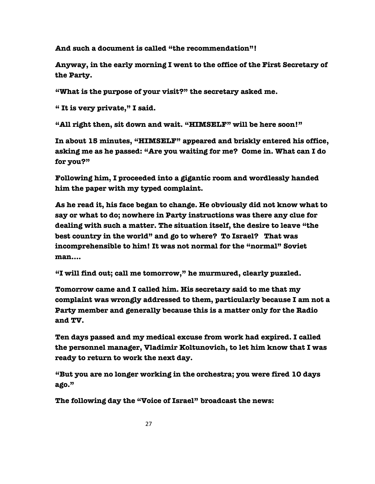**And such a document is called "the recommendation"!** 

 **Anyway, in the early morning I went to the office of the First Secretary of the Party.** 

 **"What is the purpose of your visit?" the secretary asked me.**

 **" It is very private," I said.**

 **"All right then, sit down and wait. "HIMSELF" will be here soon!"**

 **In about 15 minutes, "HIMSELF" appeared and briskly entered his office, asking me as he passed: "Are you waiting for me? Come in. What can I do for you?"**

 **Following him, I proceeded into a gigantic room and wordlessly handed him the paper with my typed complaint.**

 **As he read it, his face began to change. He obviously did not know what to say or what to do; nowhere in Party instructions was there any clue for dealing with such a matter. The situation itself, the desire to leave "the best country in the world" and go to where? To Israel? That was incomprehensible to him! It was not normal for the "normal" Soviet man….**

 **"I will find out; call me tomorrow," he murmured, clearly puzzled.** 

 **Tomorrow came and I called him. His secretary said to me that my complaint was wrongly addressed to them, particularly because I am not a Party member and generally because this is a matter only for the Radio and TV.**

 **Ten days passed and my medical excuse from work had expired. I called the personnel manager, Vladimir Koltunovich, to let him know that I was ready to return to work the next day.** 

 **"But you are no longer working in the orchestra; you were fired 10 days ago."**

 **The following day the "Voice of Israel" broadcast the news:**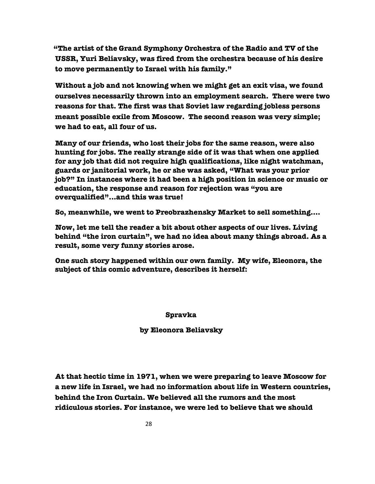**"The artist of the Grand Symphony Orchestra of the Radio and TV of the USSR, Yuri Beliavsky, was fired from the orchestra because of his desire to move permanently to Israel with his family."** 

 **Without a job and not knowing when we might get an exit visa, we found ourselves necessarily thrown into an employment search. There were two reasons for that. The first was that Soviet law regarding jobless persons meant possible exile from Moscow. The second reason was very simple; we had to eat, all four of us.**

 **Many of our friends, who lost their jobs for the same reason, were also hunting for jobs. The really strange side of it was that when one applied for any job that did not require high qualifications, like night watchman, guards or janitorial work, he or she was asked, "What was your prior job?" In instances where it had been a high position in science or music or education, the response and reason for rejection was "you are overqualified"...and this was true!**

 **So, meanwhile, we went to Preobrazhensky Market to sell something….**

 **Now, let me tell the reader a bit about other aspects of our lives. Living behind "the iron curtain", we had no idea about many things abroad. As a result, some very funny stories arose.** 

 **One such story happened within our own family. My wife, Eleonora, the subject of this comic adventure, describes it herself:**

 **Spravka**

 **by Eleonora Beliavsky**

 **At that hectic time in 1971, when we were preparing to leave Moscow for a new life in Israel, we had no information about life in Western countries, behind the Iron Curtain. We believed all the rumors and the most ridiculous stories. For instance, we were led to believe that we should**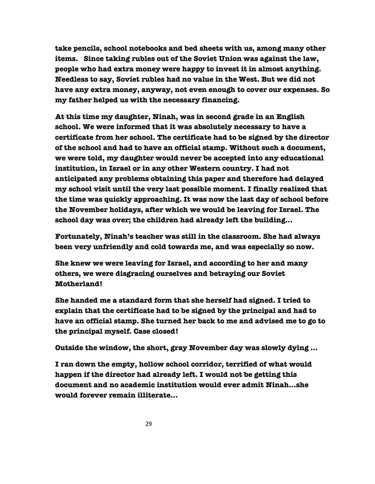**take pencils, school notebooks and bed sheets with us, among many other items. Since taking rubles out of the Soviet Union was against the law, people who had extra money were happy to invest it in almost anything. Needless to say, Soviet rubles had no value in the West. But we did not have any extra money, anyway, not even enough to cover our expenses. So my father helped us with the necessary financing.** 

 **At this time my daughter, Ninah, was in second grade in an English school. We were informed that it was absolutely necessary to have a certificate from her school. The certificate had to be signed by the director of the school and had to have an official stamp. Without such a document, we were told, my daughter would never be accepted into any educational institution, in Israel or in any other Western country. I had not anticipated any problems obtaining this paper and therefore had delayed my school visit until the very last possible moment. I finally realized that the time was quickly approaching. It was now the last day of school before the November holidays, after which we would be leaving for Israel. The school day was over; the children had already left the building…**

 **Fortunately, Ninah's teacher was still in the classroom. She had always been very unfriendly and cold towards me, and was especially so now.**

 **She knew we were leaving for Israel, and according to her and many others, we were disgracing ourselves and betraying our Soviet Motherland!**

 **She handed me a standard form that she herself had signed. I tried to explain that the certificate had to be signed by the principal and had to have an official stamp. She turned her back to me and advised me to go to the principal myself. Case closed!**

 **Outside the window, the short, gray November day was slowly dying …**

 **I ran down the empty, hollow school corridor, terrified of what would happen if the director had already left. I would not be getting this document and no academic institution would ever admit Ninah…she would forever remain illiterate…**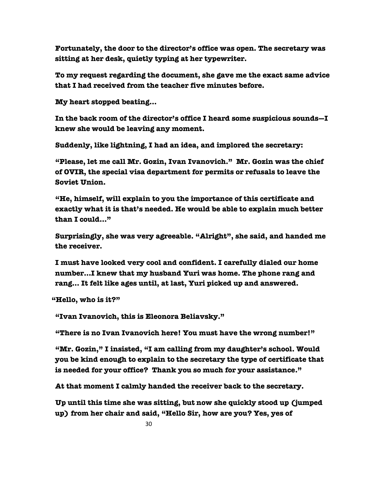**Fortunately, the door to the director's office was open. The secretary was sitting at her desk, quietly typing at her typewriter.**

 **To my request regarding the document, she gave me the exact same advice that I had received from the teacher five minutes before.** 

 **My heart stopped beating…**

 **In the back room of the director's office I heard some suspicious sounds—I knew she would be leaving any moment.**

 **Suddenly, like lightning, I had an idea, and implored the secretary:**

 **"Please, let me call Mr. Gozin, Ivan Ivanovich." Mr. Gozin was the chief of OVIR, the special visa department for permits or refusals to leave the Soviet Union.**

 **"He, himself, will explain to you the importance of this certificate and exactly what it is that's needed. He would be able to explain much better than I could…"**

 **Surprisingly, she was very agreeable. "Alright", she said, and handed me the receiver.**

 **I must have looked very cool and confident. I carefully dialed our home number…I knew that my husband Yuri was home. The phone rang and rang… It felt like ages until, at last, Yuri picked up and answered.**

 **"Hello, who is it?"**

 **"Ivan Ivanovich, this is Eleonora Beliavsky."**

 **"There is no Ivan Ivanovich here! You must have the wrong number!"**

 **"Mr. Gozin," I insisted, "I am calling from my daughter's school. Would you be kind enough to explain to the secretary the type of certificate that is needed for your office? Thank you so much for your assistance."**

 **At that moment I calmly handed the receiver back to the secretary.**

 **Up until this time she was sitting, but now she quickly stood up (jumped up) from her chair and said, "Hello Sir, how are you? Yes, yes of**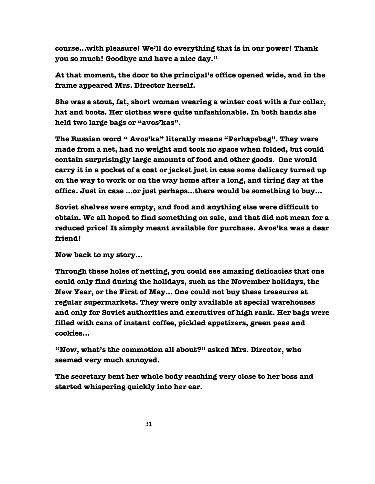**course…with pleasure! We'll do everything that is in our power! Thank you so much! Goodbye and have a nice day."**

 **At that moment, the door to the principal's office opened wide, and in the frame appeared Mrs. Director herself.**

 **She was a stout, fat, short woman wearing a winter coat with a fur collar, hat and boots. Her clothes were quite unfashionable. In both hands she held two large bags or "avos'kas".**

 **The Russian word " Avos'ka" literally means "Perhapsbag". They were made from a net, had no weight and took no space when folded, but could contain surprisingly large amounts of food and other goods. One would carry it in a pocket of a coat or jacket just in case some delicacy turned up on the way to work or on the way home after a long, and tiring day at the office. Just in case …or just perhaps…there would be something to buy…**

 **Soviet shelves were empty, and food and anything else were difficult to obtain. We all hoped to find something on sale, and that did not mean for a reduced price! It simply meant available for purchase. Avos'ka was a dear friend!**

 **Now back to my story…**

 **Through these holes of netting, you could see amazing delicacies that one could only find during the holidays, such as the November holidays, the New Year, or the First of May… One could not buy these treasures at regular supermarkets. They were only available at special warehouses and only for Soviet authorities and executives of high rank. Her bags were filled with cans of instant coffee, pickled appetizers, green peas and cookies…**

 **"Now, what's the commotion all about?" asked Mrs. Director, who seemed very much annoyed.** 

 **The secretary bent her whole body reaching very close to her boss and started whispering quickly into her ear.**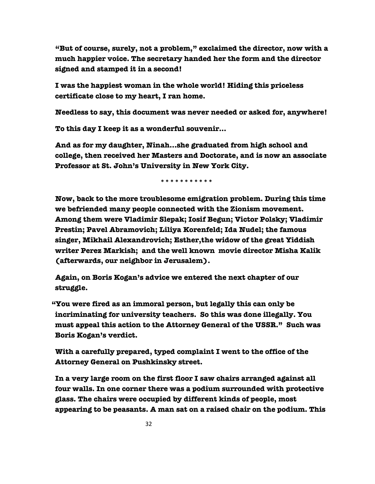**"But of course, surely, not a problem," exclaimed the director, now with a much happier voice. The secretary handed her the form and the director signed and stamped it in a second!**

 **I was the happiest woman in the whole world! Hiding this priceless certificate close to my heart, I ran home.**

 **Needless to say, this document was never needed or asked for, anywhere!**

 **To this day I keep it as a wonderful souvenir…**

 **And as for my daughter, Ninah…she graduated from high school and college, then received her Masters and Doctorate, and is now an associate Professor at St. John's University in New York City.**

 **\*\*\*\*\*\*\*\*\*\*\***

 **Now, back to the more troublesome emigration problem. During this time we befriended many people connected with the Zionism movement. Among them were Vladimir Slepak; Iosif Begun; Victor Polsky; Vladimir Prestin; Pavel Abramovich; Liliya Korenfeld; Ida Nudel; the famous singer, Mikhail Alexandrovich; Esther,the widow of the great Yiddish writer Perez Markish; and the well known movie director Misha Kalik (afterwards, our neighbor in Jerusalem).** 

 **Again, on Boris Kogan's advice we entered the next chapter of our struggle.**

 **"You were fired as an immoral person, but legally this can only be incriminating for university teachers. So this was done illegally. You must appeal this action to the Attorney General of the USSR." Such was Boris Kogan's verdict.**

 **With a carefully prepared, typed complaint I went to the office of the Attorney General on Pushkinsky street.**

 **In a very large room on the first floor I saw chairs arranged against all four walls. In one corner there was a podium surrounded with protective glass. The chairs were occupied by different kinds of people, most appearing to be peasants. A man sat on a raised chair on the podium. This**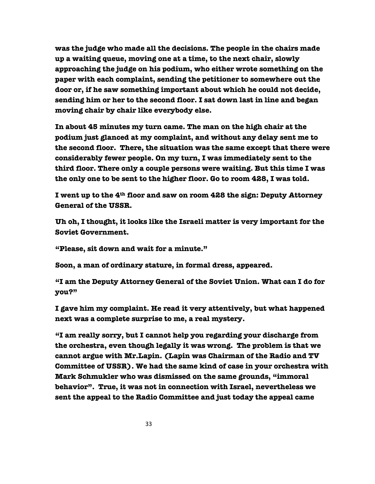**was the judge who made all the decisions. The people in the chairs made up a waiting queue, moving one at a time, to the next chair, slowly approaching the judge on his podium, who either wrote something on the paper with each complaint, sending the petitioner to somewhere out the door or, if he saw something important about which he could not decide, sending him or her to the second floor. I sat down last in line and began moving chair by chair like everybody else.**

 **In about 45 minutes my turn came. The man on the high chair at the podium just glanced at my complaint, and without any delay sent me to the second floor. There, the situation was the same except that there were considerably fewer people. On my turn, I was immediately sent to the third floor. There only a couple persons were waiting. But this time I was the only one to be sent to the higher floor. Go to room 428, I was told.**

 **I went up to the 4th floor and saw on room 428 the sign: Deputy Attorney General of the USSR.**

 **Uh oh, I thought, it looks like the Israeli matter is very important for the Soviet Government.**

 **"Please, sit down and wait for a minute."**

 **Soon, a man of ordinary stature, in formal dress, appeared.**

 **"I am the Deputy Attorney General of the Soviet Union. What can I do for you?"** 

 **I gave him my complaint. He read it very attentively, but what happened next was a complete surprise to me, a real mystery.**

 **"I am really sorry, but I cannot help you regarding your discharge from the orchestra, even though legally it was wrong. The problem is that we cannot argue with Mr.Lapin. (Lapin was Chairman of the Radio and TV Committee of USSR). We had the same kind of case in your orchestra with Mark Schmukler who was dismissed on the same grounds, "immoral behavior". True, it was not in connection with Israel, nevertheless we sent the appeal to the Radio Committee and just today the appeal came**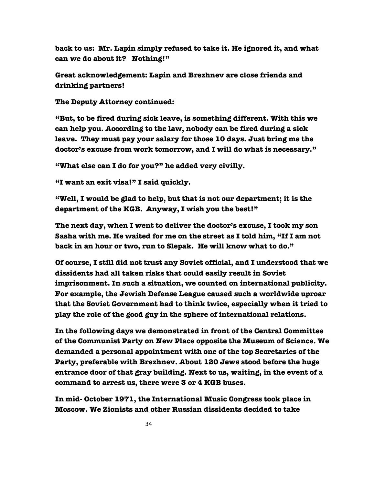**back to us: Mr. Lapin simply refused to take it. He ignored it, and what can we do about it? Nothing!"**

 **Great acknowledgement: Lapin and Brezhnev are close friends and drinking partners!**

 **The Deputy Attorney continued:**

 **"But, to be fired during sick leave, is something different. With this we can help you. According to the law, nobody can be fired during a sick leave. They must pay your salary for those 10 days. Just bring me the doctor's excuse from work tomorrow, and I will do what is necessary."** 

 **"What else can I do for you?" he added very civilly.**

 **"I want an exit visa!" I said quickly.**

 **"Well, I would be glad to help, but that is not our department; it is the department of the KGB. Anyway, I wish you the best!"**

 **The next day, when I went to deliver the doctor's excuse, I took my son Sasha with me. He waited for me on the street as I told him, "If I am not back in an hour or two, run to Slepak. He will know what to do."**

 **Of course, I still did not trust any Soviet official, and I understood that we dissidents had all taken risks that could easily result in Soviet imprisonment. In such a situation, we counted on international publicity. For example, the Jewish Defense League caused such a worldwide uproar that the Soviet Government had to think twice, especially when it tried to play the role of the good guy in the sphere of international relations.** 

 **In the following days we demonstrated in front of the Central Committee of the Communist Party on New Place opposite the Museum of Science. We demanded a personal appointment with one of the top Secretaries of the Party, preferable with Brezhnev. About 120 Jews stood before the huge entrance door of that gray building. Next to us, waiting, in the event of a command to arrest us, there were 3 or 4 KGB buses.**

 **In mid- October 1971, the International Music Congress took place in Moscow. We Zionists and other Russian dissidents decided to take**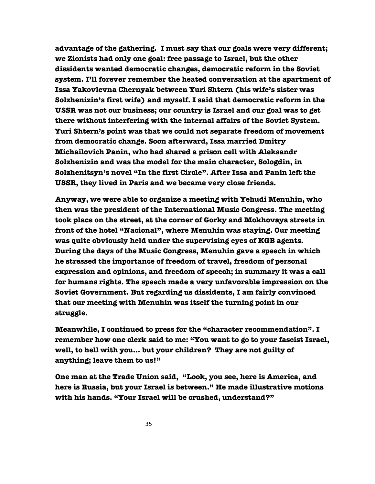**advantage of the gathering. I must say that our goals were very different; we Zionists had only one goal: free passage to Israel, but the other dissidents wanted democratic changes, democratic reform in the Soviet system. I'll forever remember the heated conversation at the apartment of Issa Yakovlevna Chernyak between Yuri Shtern (his wife's sister was Solzhenizin's first wife) and myself. I said that democratic reform in the USSR was not our business; our country is Israel and our goal was to get there without interfering with the internal affairs of the Soviet System. Yuri Shtern's point was that we could not separate freedom of movement from democratic change. Soon afterward, Issa married Dmitry Michailovich Panin, who had shared a prison cell with Aleksandr Solzhenizin and was the model for the main character, Sologdin, in Solzhenitsyn's novel "In the first Circle". After Issa and Panin left the USSR, they lived in Paris and we became very close friends.** 

 **Anyway, we were able to organize a meeting with Yehudi Menuhin, who then was the president of the International Music Congress. The meeting took place on the street, at the corner of Gorky and Mokhovaya streets in front of the hotel "Nacional", where Menuhin was staying. Our meeting was quite obviously held under the supervising eyes of KGB agents. During the days of the Music Congress, Menuhin gave a speech in which he stressed the importance of freedom of travel, freedom of personal expression and opinions, and freedom of speech; in summary it was a call for humans rights. The speech made a very unfavorable impression on the Soviet Government. But regarding us dissidents, I am fairly convinced that our meeting with Menuhin was itself the turning point in our struggle.**

 **Meanwhile, I continued to press for the "character recommendation". I remember how one clerk said to me: "You want to go to your fascist Israel, well, to hell with you… but your children? They are not guilty of anything; leave them to us!"**

 **One man at the Trade Union said, "Look, you see, here is America, and here is Russia, but your Israel is between." He made illustrative motions with his hands. "Your Israel will be crushed, understand?"**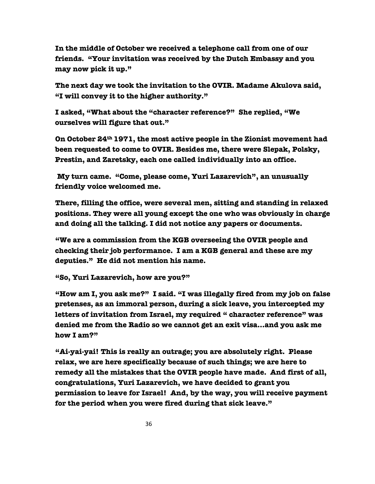**In the middle of October we received a telephone call from one of our friends. "Your invitation was received by the Dutch Embassy and you may now pick it up."** 

 **The next day we took the invitation to the OVIR. Madame Akulova said, "I will convey it to the higher authority."**

 **I asked, "What about the "character reference?" She replied, "We ourselves will figure that out."** 

 **On October 24th 1971, the most active people in the Zionist movement had been requested to come to OVIR. Besides me, there were Slepak, Polsky, Prestin, and Zaretsky, each one called individually into an office.** 

 **My turn came. "Come, please come, Yuri Lazarevich", an unusually friendly voice welcomed me.**

 **There, filling the office, were several men, sitting and standing in relaxed positions. They were all young except the one who was obviously in charge and doing all the talking. I did not notice any papers or documents.**

 **"We are a commission from the KGB overseeing the OVIR people and checking their job performance. I am a KGB general and these are my deputies." He did not mention his name.**

 **"So, Yuri Lazarevich, how are you?"**

 **"How am I, you ask me?" I said. "I was illegally fired from my job on false pretenses, as an immoral person, during a sick leave, you intercepted my letters of invitation from Israel, my required " character reference" was denied me from the Radio so we cannot get an exit visa…and you ask me how I am?"** 

 **"Ai-yai-yai! This is really an outrage; you are absolutely right. Please relax, we are here specifically because of such things; we are here to remedy all the mistakes that the OVIR people have made. And first of all, congratulations, Yuri Lazarevich, we have decided to grant you permission to leave for Israel! And, by the way, you will receive payment for the period when you were fired during that sick leave."**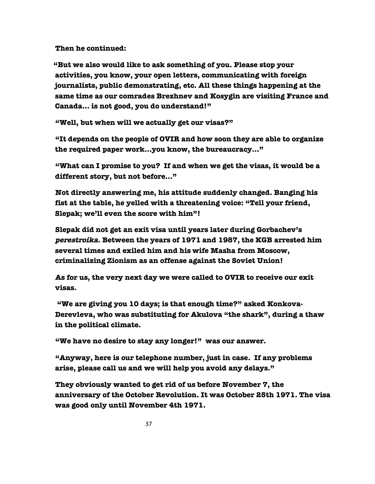**Then he continued:**

 **"But we also would like to ask something of you. Please stop your activities, you know, your open letters, communicating with foreign journalists, public demonstrating, etc. All these things happening at the same time as our comrades Brezhnev and Kosygin are visiting France and Canada… is not good, you do understand!"** 

 **"Well, but when will we actually get our visas?"**

 **"It depends on the people of OVIR and how soon they are able to organize the required paper work…you know, the bureaucracy…"**

 **"What can I promise to you? If and when we get the visas, it would be a different story, but not before…"**

 **Not directly answering me, his attitude suddenly changed. Banging his fist at the table, he yelled with a threatening voice: "Tell your friend, Slepak; we'll even the score with him"!**

 **Slepak did not get an exit visa until years later during Gorbachev's perestroika. Between the years of 1971 and 1987, the KGB arrested him several times and exiled him and his wife Masha from Moscow, criminalizing Zionism as an offense against the Soviet Union!**

 **As for us, the very next day we were called to OVIR to receive our exit visas.**

 **"We are giving you 10 days; is that enough time?" asked Konkova-Derevleva, who was substituting for Akulova "the shark", during a thaw in the political climate.** 

 **"We have no desire to stay any longer!" was our answer.**

 **"Anyway, here is our telephone number, just in case. If any problems arise, please call us and we will help you avoid any delays."** 

 **They obviously wanted to get rid of us before November 7, the anniversary of the October Revolution. It was October 25th 1971. The visa was good only until November 4th 1971.**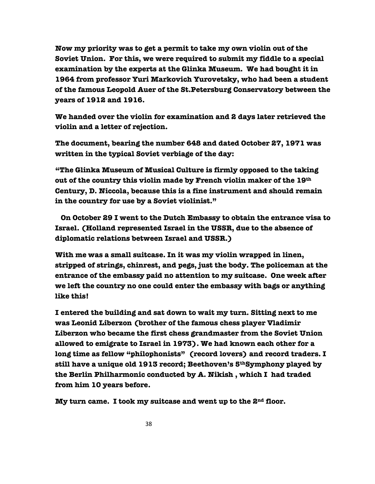**Now my priority was to get a permit to take my own violin out of the Soviet Union. For this, we were required to submit my fiddle to a special examination by the experts at the Glinka Museum. We had bought it in 1964 from professor Yuri Markovich Yurovetsky, who had been a student of the famous Leopold Auer of the St.Petersburg Conservatory between the years of 1912 and 1916.** 

 **We handed over the violin for examination and 2 days later retrieved the violin and a letter of rejection.**

 **The document, bearing the number 648 and dated October 27, 1971 was written in the typical Soviet verbiage of the day:**

 **"The Glinka Museum of Musical Culture is firmly opposed to the taking out of the country this violin made by French violin maker of the 19th Century, D. Niccola, because this is a fine instrument and should remain in the country for use by a Soviet violinist."** 

 **On October 29 I went to the Dutch Embassy to obtain the entrance visa to Israel. (Holland represented Israel in the USSR, due to the absence of diplomatic relations between Israel and USSR.)**

 **With me was a small suitcase. In it was my violin wrapped in linen, stripped of strings, chinrest, and pegs, just the body. The policeman at the entrance of the embassy paid no attention to my suitcase. One week after we left the country no one could enter the embassy with bags or anything like this!**

 **I entered the building and sat down to wait my turn. Sitting next to me was Leonid Liberzon (brother of the famous chess player Vladimir Liberzon who became the first chess grandmaster from the Soviet Union allowed to emigrate to Israel in 1973). We had known each other for a long time as fellow "philophonists" (record lovers) and record traders. I still have a unique old 1913 record; Beethoven's 5thSymphony played by the Berlin Philharmonic conducted by A. Nikish , which I had traded from him 10 years before.**

 **My turn came. I took my suitcase and went up to the 2nd floor.**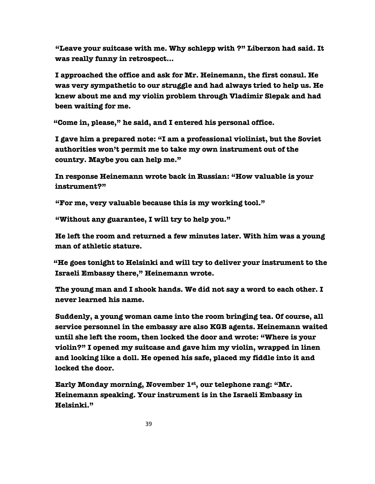**"Leave your suitcase with me. Why schlepp with ?" Liberzon had said. It was really funny in retrospect…**

 **I approached the office and ask for Mr. Heinemann, the first consul. He was very sympathetic to our struggle and had always tried to help us. He knew about me and my violin problem through Vladimir Slepak and had been waiting for me.** 

 **"Come in, please," he said, and I entered his personal office.** 

 **I gave him a prepared note: "I am a professional violinist, but the Soviet authorities won't permit me to take my own instrument out of the country. Maybe you can help me."** 

 **In response Heinemann wrote back in Russian: "How valuable is your instrument?"**

 **"For me, very valuable because this is my working tool."**

 **"Without any guarantee, I will try to help you."** 

 **He left the room and returned a few minutes later. With him was a young man of athletic stature.**

 **"He goes tonight to Helsinki and will try to deliver your instrument to the Israeli Embassy there," Heinemann wrote.**

 **The young man and I shook hands. We did not say a word to each other. I never learned his name.** 

 **Suddenly, a young woman came into the room bringing tea. Of course, all service personnel in the embassy are also KGB agents. Heinemann waited until she left the room, then locked the door and wrote: "Where is your violin?" I opened my suitcase and gave him my violin, wrapped in linen and looking like a doll. He opened his safe, placed my fiddle into it and locked the door.** 

 **Early Monday morning, November 1st, our telephone rang: "Mr. Heinemann speaking. Your instrument is in the Israeli Embassy in Helsinki."**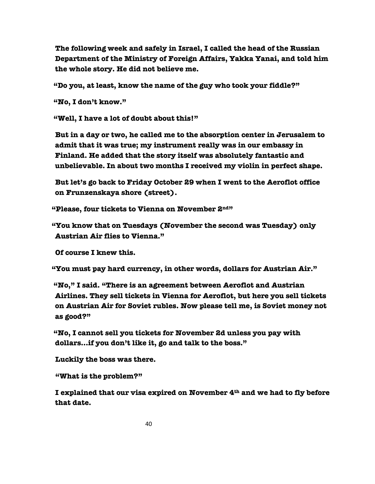**The following week and safely in Israel, I called the head of the Russian Department of the Ministry of Foreign Affairs, Yakka Yanai, and told him the whole story. He did not believe me.**

 **"Do you, at least, know the name of the guy who took your fiddle?"**

 **"No, I don't know."**

 **"Well, I have a lot of doubt about this!"**

 **But in a day or two, he called me to the absorption center in Jerusalem to admit that it was true; my instrument really was in our embassy in Finland. He added that the story itself was absolutely fantastic and unbelievable. In about two months I received my violin in perfect shape.**

 **But let's go back to Friday October 29 when I went to the Aeroflot office on Frunzenskaya shore (street).**

 **"Please, four tickets to Vienna on November 2nd"**

 **"You know that on Tuesdays (November the second was Tuesday) only Austrian Air flies to Vienna."**

 **Of course I knew this.** 

 **"You must pay hard currency, in other words, dollars for Austrian Air."**

 **"No," I said. "There is an agreement between Aeroflot and Austrian Airlines. They sell tickets in Vienna for Aeroflot, but here you sell tickets on Austrian Air for Soviet rubles. Now please tell me, is Soviet money not as good?"**

 **"No, I cannot sell you tickets for November 2d unless you pay with dollars…if you don't like it, go and talk to the boss."**

 **Luckily the boss was there.**

 **"What is the problem?"**

 **I explained that our visa expired on November 4th and we had to fly before that date.**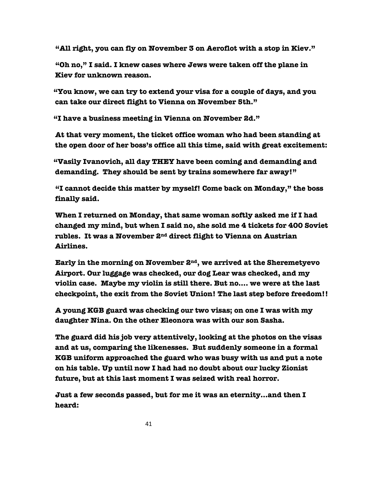**"All right, you can fly on November 3 on Aeroflot with a stop in Kiev."**

 **"Oh no," I said. I knew cases where Jews were taken off the plane in Kiev for unknown reason.** 

 **"You know, we can try to extend your visa for a couple of days, and you can take our direct flight to Vienna on November 5th."**

 **"I have a business meeting in Vienna on November 2d."**

 **At that very moment, the ticket office woman who had been standing at the open door of her boss's office all this time, said with great excitement:**

 **"Vasily Ivanovich, all day THEY have been coming and demanding and demanding. They should be sent by trains somewhere far away!"**

 **"I cannot decide this matter by myself! Come back on Monday," the boss finally said.**

 **When I returned on Monday, that same woman softly asked me if I had changed my mind, but when I said no, she sold me 4 tickets for 400 Soviet rubles. It was a November 2nd direct flight to Vienna on Austrian Airlines.**

 **Early in the morning on November 2nd, we arrived at the Sheremetyevo Airport. Our luggage was checked, our dog Lear was checked, and my violin case. Maybe my violin is still there. But no…. we were at the last checkpoint, the exit from the Soviet Union! The last step before freedom!!**

 **A young KGB guard was checking our two visas; on one I was with my daughter Nina. On the other Eleonora was with our son Sasha.**

 **The guard did his job very attentively, looking at the photos on the visas and at us, comparing the likenesses. But suddenly someone in a formal KGB uniform approached the guard who was busy with us and put a note on his table. Up until now I had had no doubt about our lucky Zionist future, but at this last moment I was seized with real horror.** 

 **Just a few seconds passed, but for me it was an eternity…and then I heard:**